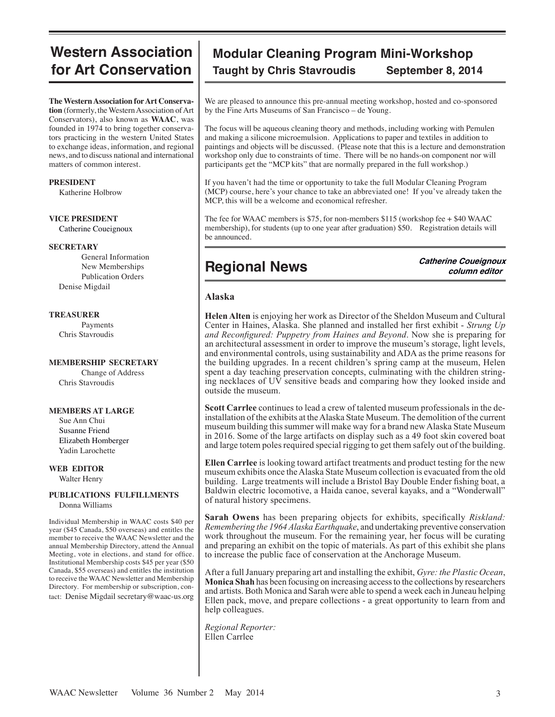## **Western Association for Art Conservation**

**The Western Association for Art Conservation** (formerly, the Western Association of Art Conservators), also known as **WAAC**, was founded in 1974 to bring together conservators practicing in the western United States to exchange ideas, information, and regional news, and to discuss national and international matters of common interest.

#### **PRESIDENT**

Katherine Holbrow

#### **VICE PRESIDENT**

Catherine Coueignoux

#### **SECRETARY**

General Information New Memberships Publication Orders Denise Migdail

### **TREASURER**

Payments Chris Stavroudis

#### **MEMBERSHIP SECRETARY**

Change of Address Chris Stavroudis

#### **MEMBERS AT LARGE**

 Sue Ann Chui Susanne Friend Elizabeth Homberger Yadin Larochette

#### **WEB EDITOR** Walter Henry

**PUBLICATIONS FULFILLMENTS** Donna Williams

Individual Membership in WAAC costs \$40 per year (\$45 Canada, \$50 overseas) and entitles the member to receive the WAAC Newsletter and the annual Membership Directory, attend the Annual Meeting, vote in elections, and stand for office. Institutional Membership costs \$45 per year (\$50 Canada, \$55 overseas) and entitles the institution to receive the WAAC Newsletter and Membership Directory. For membership or subscription, contact: Denise Migdail secretary@waac-us.org

## **Modular Cleaning Program Mini-Workshop Taught by Chris Stavroudis September 8, 2014**

We are pleased to announce this pre-annual meeting workshop, hosted and co-sponsored by the Fine Arts Museums of San Francisco – de Young.

The focus will be aqueous cleaning theory and methods, including working with Pemulen and making a silicone microemulsion. Applications to paper and textiles in addition to paintings and objects will be discussed. (Please note that this is a lecture and demonstration workshop only due to constraints of time. There will be no hands-on component nor will participants get the "MCP kits" that are normally prepared in the full workshop.)

If you haven't had the time or opportunity to take the full Modular Cleaning Program (MCP) course, here's your chance to take an abbreviated one! If you've already taken the MCP, this will be a welcome and economical refresher.

The fee for WAAC members is \$75, for non-members \$115 (workshop fee + \$40 WAAC membership), for students (up to one year after graduation) \$50. Registration details will be announced.

# **Regional News**

**Catherine Coueignoux column editor**

## **Alaska**

**Helen Alten** is enjoying her work as Director of the Sheldon Museum and Cultural Center in Haines, Alaska. She planned and installed her first exhibit - *Strung Up and Reconfigured: Puppetry from Haines and Beyond*. Now she is preparing for an architectural assessment in order to improve the museum's storage, light levels, and environmental controls, using sustainability and ADA as the prime reasons for the building upgrades. In a recent children's spring camp at the museum, Helen spent a day teaching preservation concepts, culminating with the children stringing necklaces of UV sensitive beads and comparing how they looked inside and outside the museum.

**Scott Carrlee** continues to lead a crew of talented museum professionals in the deinstallation of the exhibits at the Alaska State Museum. The demolition of the current museum building this summer will make way for a brand new Alaska State Museum in 2016. Some of the large artifacts on display such as a 49 foot skin covered boat and large totem poles required special rigging to get them safely out of the building.

**Ellen Carrlee** is looking toward artifact treatments and product testing for the new museum exhibits once the Alaska State Museum collection is evacuated from the old building. Large treatments will include a Bristol Bay Double Ender fishing boat, a Baldwin electric locomotive, a Haida canoe, several kayaks, and a "Wonderwall" of natural history specimens.

**Sarah Owens** has been preparing objects for exhibits, specifically *Riskland: Remembering the 1964 Alaska Earthquake*, and undertaking preventive conservation work throughout the museum. For the remaining year, her focus will be curating and preparing an exhibit on the topic of materials. As part of this exhibit she plans to increase the public face of conservation at the Anchorage Museum.

After a full January preparing art and installing the exhibit, *Gyre: the Plastic Ocean*, **Monica Shah** has been focusing on increasing access to the collections by researchers and artists. Both Monica and Sarah were able to spend a week each in Juneau helping Ellen pack, move, and prepare collections - a great opportunity to learn from and help colleagues.

*Regional Reporter:* Ellen Carrlee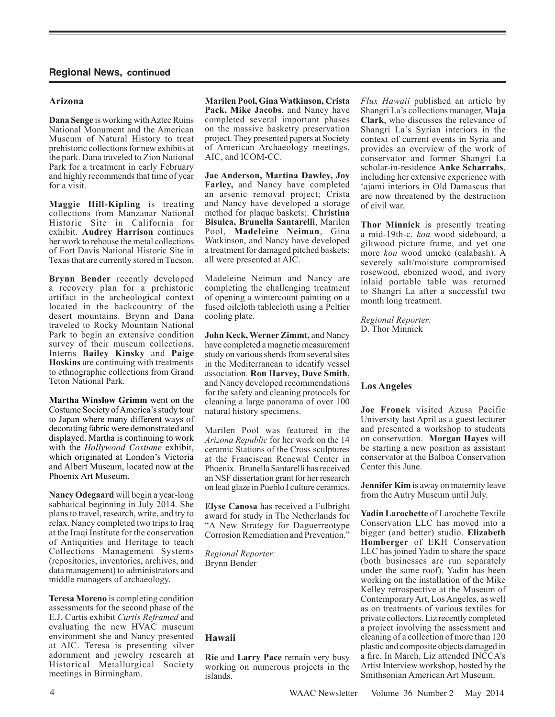## **Arizona**

**Dana Senge** is working with Aztec Ruins National Monument and the American Museum of Natural History to treat prehistoric collections for new exhibits at the park. Dana traveled to Zion National Park for a treatment in early February and highly recommends that time of year for a visit.

**Maggie Hill-Kipling** is treating collections from Manzanar National Historic Site in California for exhibit. **Audrey Harrison** continues her work to rehouse the metal collections of Fort Davis National Historic Site in Texas that are currently stored in Tucson.

**Brynn Bender** recently developed a recovery plan for a prehistoric artifact in the archeological context located in the backcountry of the desert mountains. Brynn and Dana traveled to Rocky Mountain National Park to begin an extensive condition survey of their museum collections. Interns **Bailey Kinsky** and **Paige Hoskins** are continuing with treatments to ethnographic collections from Grand Teton National Park.

**Martha Winslow Grimm** went on the Costume Society of America's study tour to Japan where many different ways of decorating fabric were demonstrated and displayed. Martha is continuing to work with the *Hollywood Costume* exhibit, which originated at London's Victoria and Albert Museum, located now at the Phoenix Art Museum.

**Nancy Odegaard** will begin a year-long sabbatical beginning in July 2014. She plans to travel, research, write, and try to relax. Nancy completed two trips to Iraq at the Iraqi Institute for the conservation of Antiquities and Heritage to teach Collections Management Systems (repositories, inventories, archives, and data management) to administrators and middle managers of archaeology.

**Teresa Moreno** is completing condition assessments for the second phase of the E.J. Curtis exhibit *Curtis Reframed* and evaluating the new HVAC museum environment she and Nancy presented at AIC. Teresa is presenting silver adornment and jewelry research at Historical Metallurgical Society meetings in Birmingham.

**Marilen Pool, Gina Watkinson, Crista Pack, Mike Jacobs**, and Nancy have completed several important phases on the massive basketry preservation project. They presented papers at Society of American Archaeology meetings, AIC, and ICOM-CC.

**Jae Anderson, Martina Dawley, Joy Farley,** and Nancy have completed an arsenic removal project; Crista and Nancy have developed a storage method for plaque baskets;. **Christina Bisulca, Brunella Santarelli**, Marilen Pool, **Madeleine Neiman**, Gina Watkinson, and Nancy have developed a treatment for damaged pitched baskets; all were presented at AIC.

Madeleine Neiman and Nancy are completing the challenging treatment of opening a wintercount painting on a fused oilcloth tablecloth using a Peltier cooling plate.

**John Keck, Werner Zimmt,** and Nancy have completed a magnetic measurement study on various sherds from several sites in the Mediterranean to identify vessel association. **Ron Harvey, Dave Smith**, and Nancy developed recommendations for the safety and cleaning protocols for cleaning a large panorama of over 100 natural history specimens.

Marilen Pool was featured in the *Arizona Republic* for her work on the 14 ceramic Stations of the Cross sculptures at the Franciscan Renewal Center in Phoenix. Brunella Santarelli has received an NSF dissertation grant for her research on lead glaze in Pueblo I culture ceramics.

**Elyse Canosa** has received a Fulbright award for study in The Netherlands for "A New Strategy for Daguerreotype Corrosion Remediation and Prevention."

*Regional Reporter:* Brynn Bender

## **Hawaii**

**Rie** and **Larry Pace** remain very busy working on numerous projects in the islands.

*Flux Hawaii* published an article by Shangri La's collections manager, **Maja Clark**, who discusses the relevance of Shangri La's Syrian interiors in the context of current events in Syria and provides an overview of the work of conservator and former Shangri La scholar-in-residence **Anke Scharrahs**, including her extensive experience with 'ajami interiors in Old Damascus that are now threatened by the destruction of civil war.

**Thor Minnick** is presently treating a mid-19th-c. *koa* wood sideboard, a giltwood picture frame, and yet one more *kou* wood umeke (calabash). A severely salt/moisture compromised rosewood, ebonized wood, and ivory inlaid portable table was returned to Shangri La after a successful two month long treatment.

*Regional Reporter:* D. Thor Minnick

## **Los Angeles**

**Joe Fronek** visited Azusa Pacific University last April as a guest lecturer and presented a workshop to students on conservation. **Morgan Hayes** will be starting a new position as assistant conservator at the Balboa Conservation Center this June.

**Jennifer Kim** is away on maternity leave from the Autry Museum until July.

**Yadin Larochette** of Larochette Textile Conservation LLC has moved into a bigger (and better) studio. **Elizabeth Homberger** of EKH Conservation LLC has joined Yadin to share the space (both businesses are run separately under the same roof). Yadin has been working on the installation of the Mike Kelley retrospective at the Museum of Contemporary Art, Los Angeles, as well as on treatments of various textiles for private collectors. Liz recently completed a project involving the assessment and cleaning of a collection of more than 120 plastic and composite objects damaged in a fire. In March, Liz attended INCCA's Artist Interview workshop, hosted by the Smithsonian American Art Museum.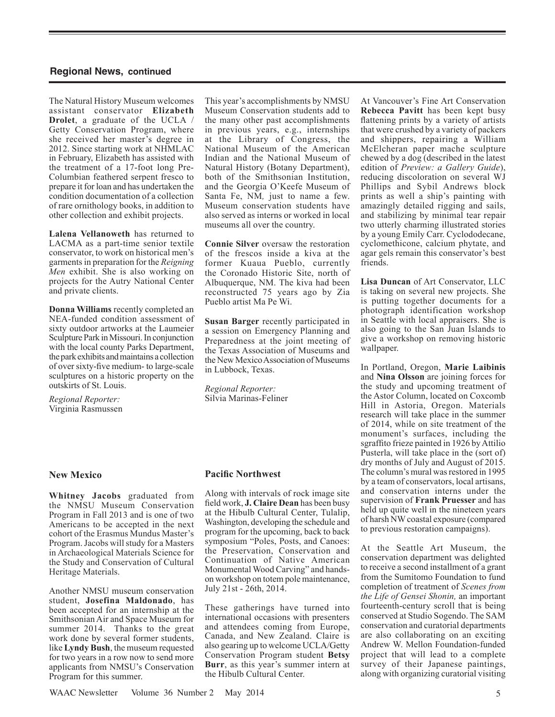The Natural History Museum welcomes assistant conservator **Elizabeth Drolet**, a graduate of the UCLA / Getty Conservation Program, where she received her master's degree in 2012. Since starting work at NHMLAC in February, Elizabeth has assisted with the treatment of a 17-foot long Pre-Columbian feathered serpent fresco to prepare it for loan and has undertaken the condition documentation of a collection of rare ornithology books, in addition to other collection and exhibit projects.

**Lalena Vellanoweth** has returned to LACMA as a part-time senior textile conservator, to work on historical men's garments in preparation for the *Reigning Men* exhibit. She is also working on projects for the Autry National Center and private clients.

**Donna Williams** recently completed an NEA-funded condition assessment of sixty outdoor artworks at the Laumeier Sculpture Park in Missouri. In conjunction with the local county Parks Department, the park exhibits and maintains a collection of over sixty-five medium- to large-scale sculptures on a historic property on the outskirts of St. Louis.

*Regional Reporter:* Virginia Rasmussen

### **New Mexico**

**Whitney Jacobs** graduated from the NMSU Museum Conservation Program in Fall 2013 and is one of two Americans to be accepted in the next cohort of the Erasmus Mundus Master's Program. Jacobs will study for a Masters in Archaeological Materials Science for the Study and Conservation of Cultural Heritage Materials.

Another NMSU museum conservation student, **Josefina Maldonado**, has been accepted for an internship at the Smithsonian Air and Space Museum for summer 2014. Thanks to the great work done by several former students, like **Lyndy Bush**, the museum requested for two years in a row now to send more applicants from NMSU's Conservation Program for this summer.

This year's accomplishments by NMSU Museum Conservation students add to the many other past accomplishments in previous years, e.g., internships at the Library of Congress, the National Museum of the American Indian and the National Museum of Natural History (Botany Department), both of the Smithsonian Institution, and the Georgia O'Keefe Museum of Santa Fe, NM*,* just to name a few. Museum conservation students have also served as interns or worked in local museums all over the country.

**Connie Silver** oversaw the restoration of the frescos inside a kiva at the former Kuaua Pueblo, currently the Coronado Historic Site, north of Albuquerque, NM. The kiva had been reconstructed 75 years ago by Zia Pueblo artist Ma Pe Wi.

**Susan Barger** recently participated in a session on Emergency Planning and Preparedness at the joint meeting of the Texas Association of Museums and the New Mexico Association of Museums in Lubbock, Texas.

*Regional Reporter:* Silvia Marinas-Feliner

### **Pacific Northwest**

Along with intervals of rock image site field work, **J. Claire Dean** has been busy at the Hibulb Cultural Center, Tulalip, Washington, developing the schedule and program for the upcoming, back to back symposium "Poles, Posts, and Canoes: the Preservation, Conservation and Continuation of Native American Monumental Wood Carving" and handson workshop on totem pole maintenance, July 21st - 26th, 2014.

These gatherings have turned into international occasions with presenters and attendees coming from Europe, Canada, and New Zealand. Claire is also gearing up to welcome UCLA/Getty Conservation Program student **Betsy Burr**, as this year's summer intern at the Hibulb Cultural Center.

At Vancouver's Fine Art Conservation **Rebecca Pavitt** has been kept busy flattening prints by a variety of artists that were crushed by a variety of packers and shippers, repairing a William McElcheran paper mache sculpture chewed by a dog (described in the latest edition of *Preview: a Gallery Guide*), reducing discoloration on several WJ Phillips and Sybil Andrews block prints as well a ship's painting with amazingly detailed rigging and sails, and stabilizing by minimal tear repair two utterly charming illustrated stories by a young Emily Carr. Cyclododecane, cyclomethicone, calcium phytate, and agar gels remain this conservator's best friends.

**Lisa Duncan** of Art Conservator, LLC is taking on several new projects. She is putting together documents for a photograph identification workshop in Seattle with local appraisers. She is also going to the San Juan Islands to give a workshop on removing historic wallpaper.

In Portland, Oregon, **Marie Laibinis** and **Nina Olsson** are joining forces for the study and upcoming treatment of the Astor Column, located on Coxcomb Hill in Astoria, Oregon. Materials research will take place in the summer of 2014, while on site treatment of the monument's surfaces, including the sgraffito frieze painted in 1926 by Attilio Pusterla, will take place in the (sort of) dry months of July and August of 2015. The column's mural was restored in 1995 by a team of conservators, local artisans, and conservation interns under the supervision of **Frank Pruesser** and has held up quite well in the nineteen years of harsh NW coastal exposure (compared to previous restoration campaigns).

At the Seattle Art Museum, the conservation department was delighted to receive a second installment of a grant from the Sumitomo Foundation to fund completion of treatment of *Scenes from the Life of Gensei Shonin,* an important fourteenth-century scroll that is being conserved at Studio Sogendo. The SAM conservation and curatorial departments are also collaborating on an exciting Andrew W. Mellon Foundation-funded project that will lead to a complete survey of their Japanese paintings, along with organizing curatorial visiting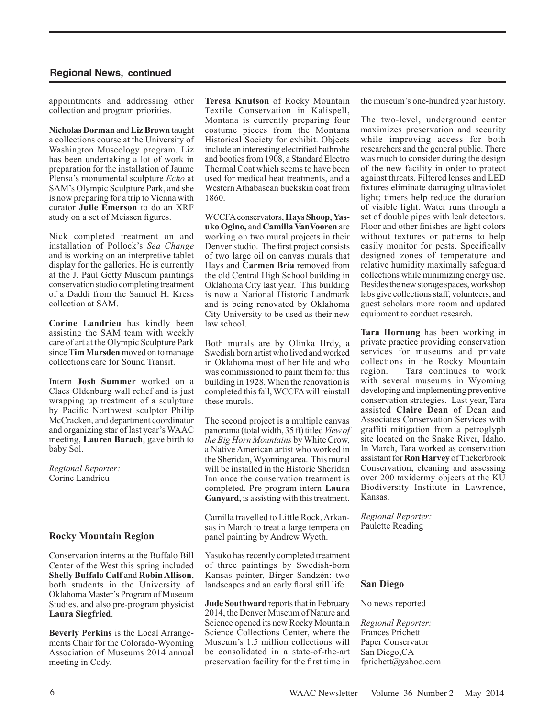appointments and addressing other collection and program priorities.

**Nicholas Dorman** and **Liz Brown** taught a collections course at the University of Washington Museology program. Liz has been undertaking a lot of work in preparation for the installation of Jaume Plensa's monumental sculpture *Echo* at SAM's Olympic Sculpture Park, and she is now preparing for a trip to Vienna with curator **Julie Emerson** to do an XRF study on a set of Meissen figures.

Nick completed treatment on and installation of Pollock's *Sea Change* and is working on an interpretive tablet display for the galleries. He is currently at the J. Paul Getty Museum paintings conservation studio completing treatment of a Daddi from the Samuel H. Kress collection at SAM.

**Corine Landrieu** has kindly been assisting the SAM team with weekly care of art at the Olympic Sculpture Park since **Tim Marsden** moved on to manage collections care for Sound Transit.

Intern **Josh Summer** worked on a Claes Oldenburg wall relief and is just wrapping up treatment of a sculpture by Pacific Northwest sculptor Philip McCracken, and department coordinator and organizing star of last year's WAAC meeting, **Lauren Barach**, gave birth to baby Sol.

*Regional Reporter:* Corine Landrieu

## **Rocky Mountain Region**

Conservation interns at the Buffalo Bill Center of the West this spring included **Shelly Buffalo Calf** and **Robin Allison**, both students in the University of Oklahoma Master's Program of Museum Studies, and also pre-program physicist **Laura Siegfried**.

**Beverly Perkins** is the Local Arrangements Chair for the Colorado-Wyoming Association of Museums 2014 annual meeting in Cody.

**Teresa Knutson** of Rocky Mountain Textile Conservation in Kalispell, Montana is currently preparing four costume pieces from the Montana Historical Society for exhibit. Objects include an interesting electrified bathrobe and booties from 1908, a Standard Electro Thermal Coat which seems to have been used for medical heat treatments, and a Western Athabascan buckskin coat from 1860.

WCCFA conservators, **Hays Shoop**, **Yasuko Ogino,** and **Camilla VanVooren** are working on two mural projects in their Denver studio. The first project consists of two large oil on canvas murals that Hays and **Carmen Bria** removed from the old Central High School building in Oklahoma City last year. This building is now a National Historic Landmark and is being renovated by Oklahoma City University to be used as their new law school.

Both murals are by Olinka Hrdy, a Swedish born artist who lived and worked in Oklahoma most of her life and who was commissioned to paint them for this building in 1928. When the renovation is completed this fall, WCCFA will reinstall these murals.

The second project is a multiple canvas panorama (total width, 35 ft) titled *View of the Big Horn Mountains* by White Crow, a Native American artist who worked in the Sheridan, Wyoming area. This mural will be installed in the Historic Sheridan Inn once the conservation treatment is completed. Pre-program intern **Laura Ganyard**, is assisting with this treatment.

Camilla travelled to Little Rock, Arkansas in March to treat a large tempera on panel painting by Andrew Wyeth.

Yasuko has recently completed treatment of three paintings by Swedish-born Kansas painter, Birger Sandzén: two landscapes and an early floral still life.

**Jude Southward** reports that in February 2014, the Denver Museum of Nature and Science opened its new Rocky Mountain Science Collections Center, where the Museum's 1.5 million collections will be consolidated in a state-of-the-art preservation facility for the first time in

the museum's one-hundred year history.

The two-level, underground center maximizes preservation and security while improving access for both researchers and the general public. There was much to consider during the design of the new facility in order to protect against threats. Filtered lenses and LED fixtures eliminate damaging ultraviolet light; timers help reduce the duration of visible light. Water runs through a set of double pipes with leak detectors. Floor and other finishes are light colors without textures or patterns to help easily monitor for pests. Specifically designed zones of temperature and relative humidity maximally safeguard collections while minimizing energy use. Besides the new storage spaces, workshop labs give collections staff, volunteers, and guest scholars more room and updated equipment to conduct research.

**Tara Hornung** has been working in private practice providing conservation services for museums and private collections in the Rocky Mountain region. Tara continues to work with several museums in Wyoming developing and implementing preventive conservation strategies. Last year, Tara assisted **Claire Dean** of Dean and Associates Conservation Services with graffiti mitigation from a petroglyph site located on the Snake River, Idaho. In March, Tara worked as conservation assistant for **Ron Harvey** of Tuckerbrook Conservation, cleaning and assessing over 200 taxidermy objects at the KU Biodiversity Institute in Lawrence, Kansas.

*Regional Reporter:* Paulette Reading

#### **San Diego**

No news reported

*Regional Reporter:* Frances Prichett Paper Conservator San Diego,CA fprichett@yahoo.com